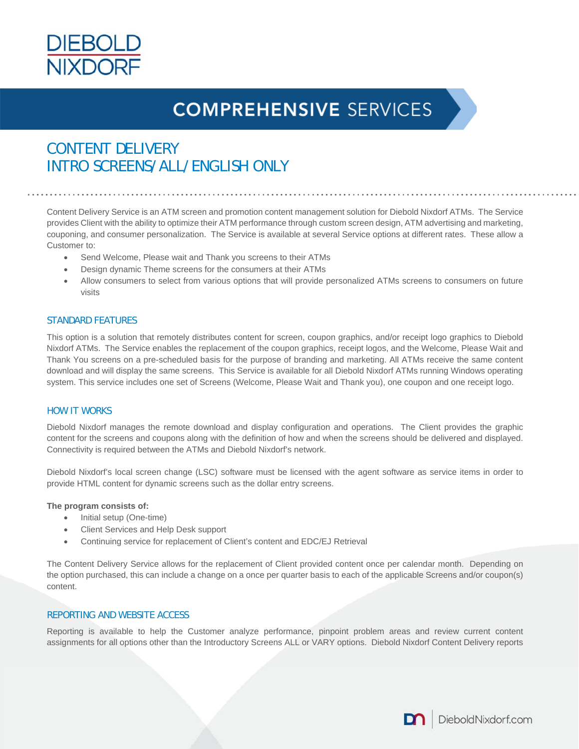

# **COMPREHENSIVE SERVICES**

### CONTENT DELIVERY INTRO SCREENS/ALL/ENGLISH ONLY

Content Delivery Service is an ATM screen and promotion content management solution for Diebold Nixdorf ATMs. The Service provides Client with the ability to optimize their ATM performance through custom screen design, ATM advertising and marketing, couponing, and consumer personalization. The Service is available at several Service options at different rates. These allow a Customer to:

- Send Welcome, Please wait and Thank you screens to their ATMs
- Design dynamic Theme screens for the consumers at their ATMs
- Allow consumers to select from various options that will provide personalized ATMs screens to consumers on future visits

### STANDARD FEATURES

This option is a solution that remotely distributes content for screen, coupon graphics, and/or receipt logo graphics to Diebold Nixdorf ATMs. The Service enables the replacement of the coupon graphics, receipt logos, and the Welcome, Please Wait and Thank You screens on a pre-scheduled basis for the purpose of branding and marketing. All ATMs receive the same content download and will display the same screens. This Service is available for all Diebold Nixdorf ATMs running Windows operating system. This service includes one set of Screens (Welcome, Please Wait and Thank you), one coupon and one receipt logo.

### HOW IT WORKS

Diebold Nixdorf manages the remote download and display configuration and operations. The Client provides the graphic content for the screens and coupons along with the definition of how and when the screens should be delivered and displayed. Connectivity is required between the ATMs and Diebold Nixdorf's network.

Diebold Nixdorf's local screen change (LSC) software must be licensed with the agent software as service items in order to provide HTML content for dynamic screens such as the dollar entry screens.

#### **The program consists of:**

- Initial setup (One-time)
- Client Services and Help Desk support
- Continuing service for replacement of Client's content and EDC/EJ Retrieval

The Content Delivery Service allows for the replacement of Client provided content once per calendar month. Depending on the option purchased, this can include a change on a once per quarter basis to each of the applicable Screens and/or coupon(s) content.

### REPORTING AND WEBSITE ACCESS

Reporting is available to help the Customer analyze performance, pinpoint problem areas and review current content assignments for all options other than the Introductory Screens ALL or VARY options. Diebold Nixdorf Content Delivery reports

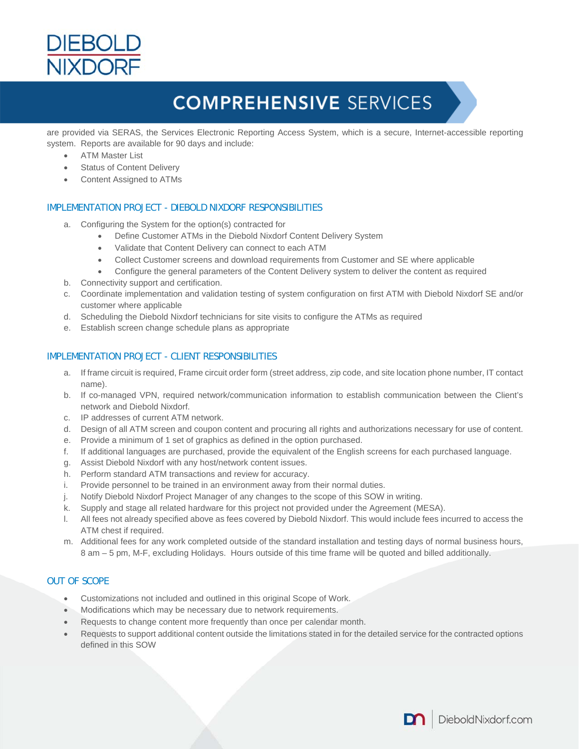

## **COMPREHENSIVE SERVICES**

are provided via SERAS, the Services Electronic Reporting Access System, which is a secure, Internet-accessible reporting system. Reports are available for 90 days and include:

- ATM Master List
- Status of Content Delivery
- Content Assigned to ATMs

### IMPLEMENTATION PROJECT - DIEBOLD NIXDORF RESPONSIBILITIES

- a. Configuring the System for the option(s) contracted for
	- Define Customer ATMs in the Diebold Nixdorf Content Delivery System
	- Validate that Content Delivery can connect to each ATM
	- Collect Customer screens and download requirements from Customer and SE where applicable
	- Configure the general parameters of the Content Delivery system to deliver the content as required
- b. Connectivity support and certification.
- c. Coordinate implementation and validation testing of system configuration on first ATM with Diebold Nixdorf SE and/or customer where applicable
- d. Scheduling the Diebold Nixdorf technicians for site visits to configure the ATMs as required
- e. Establish screen change schedule plans as appropriate

### IMPLEMENTATION PROJECT - CLIENT RESPONSIBILITIES

- a. If frame circuit is required, Frame circuit order form (street address, zip code, and site location phone number, IT contact name).
- b. If co-managed VPN, required network/communication information to establish communication between the Client's network and Diebold Nixdorf.
- c. IP addresses of current ATM network.
- d. Design of all ATM screen and coupon content and procuring all rights and authorizations necessary for use of content.
- e. Provide a minimum of 1 set of graphics as defined in the option purchased.
- f. If additional languages are purchased, provide the equivalent of the English screens for each purchased language.
- g. Assist Diebold Nixdorf with any host/network content issues.
- h. Perform standard ATM transactions and review for accuracy.
- i. Provide personnel to be trained in an environment away from their normal duties.
- j. Notify Diebold Nixdorf Project Manager of any changes to the scope of this SOW in writing.
- k. Supply and stage all related hardware for this project not provided under the Agreement (MESA).
- l. All fees not already specified above as fees covered by Diebold Nixdorf. This would include fees incurred to access the ATM chest if required.
- m. Additional fees for any work completed outside of the standard installation and testing days of normal business hours, 8 am – 5 pm, M-F, excluding Holidays. Hours outside of this time frame will be quoted and billed additionally.

### OUT OF SCOPE

- Customizations not included and outlined in this original Scope of Work.
- $\bullet$  Modifications which may be necessary due to network requirements.
- Requests to change content more frequently than once per calendar month.
- Requests to support additional content outside the limitations stated in for the detailed service for the contracted options defined in this SOW